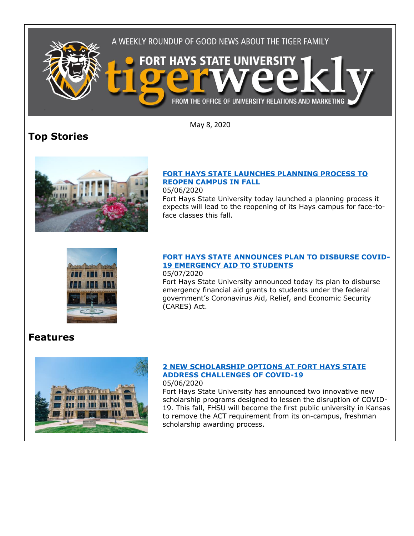

**Top Stories**

May 8, 2020

## **[FORT HAYS STATE LAUNCHES PLANNING PROCESS TO](https://fhsu.edu/news/2020/05/fort-hays-state-launches-planning-process-to-reopen-campus-in-fall)  [REOPEN CAMPUS IN FALL](https://fhsu.edu/news/2020/05/fort-hays-state-launches-planning-process-to-reopen-campus-in-fall)**

05/06/2020

Fort Hays State University today launched a planning process it expects will lead to the reopening of its Hays campus for face-toface classes this fall.



#### **[FORT HAYS STATE ANNOUNCES PLAN TO DISBURSE COVID-](https://fhsu.edu/news/2020/05/fort-hays-state-announces-plan-to-disburse-covid-29-emergency-aid-to-students)[19 EMERGENCY AID TO STUDENTS](https://fhsu.edu/news/2020/05/fort-hays-state-announces-plan-to-disburse-covid-29-emergency-aid-to-students)** 05/07/2020

Fort Hays State University announced today its plan to disburse emergency financial aid grants to students under the federal government's Coronavirus Aid, Relief, and Economic Security (CARES) Act.

# **Features**



### **[2 NEW SCHOLARSHIP OPTIONS AT FORT HAYS STATE](https://fhsu.edu/news/2020/05/2-new-scholarship-options-at-fort-hays-state-address-challenges-of-covid-19)  [ADDRESS CHALLENGES OF COVID-19](https://fhsu.edu/news/2020/05/2-new-scholarship-options-at-fort-hays-state-address-challenges-of-covid-19)** 05/06/2020

Fort Hays State University has announced two innovative new scholarship programs designed to lessen the disruption of COVID-19. This fall, FHSU will become the first public university in Kansas to remove the ACT requirement from its on-campus, freshman scholarship awarding process.